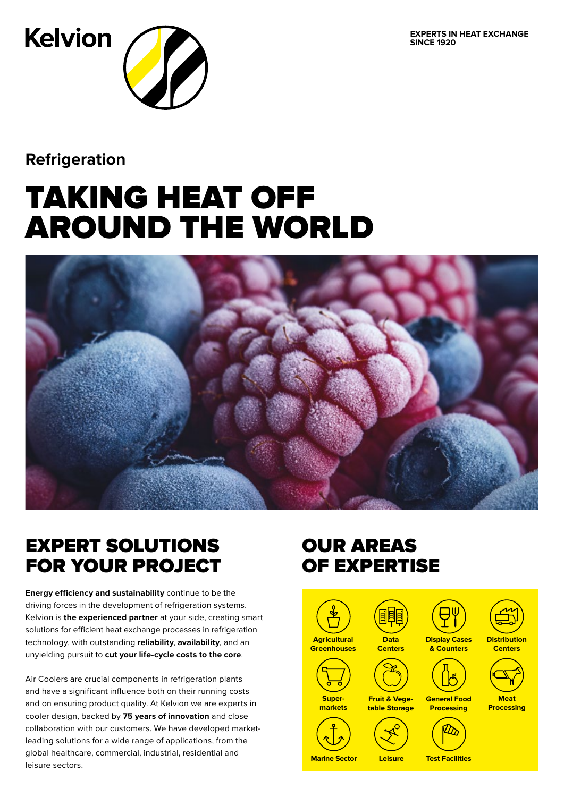**EXPERTS IN HEAT EXCHANGE SINCE 1920**



**Refrigeration**

# TAKING HEAT OFF AROUND THE WORLD



### EXPERT SOLUTIONS FOR YOUR PROJECT

**Energy efficiency and sustainability** continue to be the driving forces in the development of refrigeration systems. Kelvion is **the experienced partner** at your side, creating smart solutions for efficient heat exchange processes in refrigeration technology, with outstanding **reliability**, **availability**, and an unyielding pursuit to **cut your life-cycle costs to the core**.

Air Coolers are crucial components in refrigeration plants and have a significant influence both on their running costs and on ensuring product quality. At Kelvion we are experts in cooler design, backed by **75 years of innovation** and close collaboration with our customers. We have developed marketleading solutions for a wide range of applications, from the global healthcare, commercial, industrial, residential and leisure sectors.

### OUR AREAS OF EXPERTISE